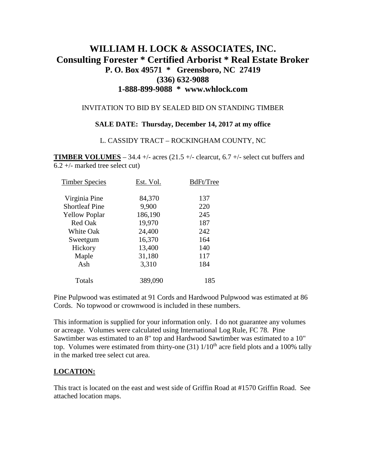# **WILLIAM H. LOCK & ASSOCIATES, INC. Consulting Forester \* Certified Arborist \* Real Estate Broker P. O. Box 49571 \* Greensboro, NC 27419 (336) 632-9088 1-888-899-9088 \* www.whlock.com**

### INVITATION TO BID BY SEALED BID ON STANDING TIMBER

#### **SALE DATE: Thursday, December 14, 2017 at my office**

#### L. CASSIDY TRACT – ROCKINGHAM COUNTY, NC

**TIMBER VOLUMES** – 34.4 +/- acres (21.5 +/- clearcut, 6.7 +/- select cut buffers and 6.2 +/- marked tree select cut)

| <b>Timber Species</b> | Est. Vol. | BdFt/Tree |
|-----------------------|-----------|-----------|
| Virginia Pine         | 84,370    | 137       |
| <b>Shortleaf Pine</b> | 9,900     | 220       |
| <b>Yellow Poplar</b>  | 186,190   | 245       |
| Red Oak               | 19,970    | 187       |
| White Oak             | 24,400    | 242       |
| Sweetgum              | 16,370    | 164       |
| Hickory               | 13,400    | 140       |
| Maple                 | 31,180    | 117       |
| Ash                   | 3,310     | 184       |
| Totals                | 389,090   | 185       |

Pine Pulpwood was estimated at 91 Cords and Hardwood Pulpwood was estimated at 86 Cords. No topwood or crownwood is included in these numbers.

This information is supplied for your information only. I do not guarantee any volumes or acreage. Volumes were calculated using International Log Rule, FC 78. Pine Sawtimber was estimated to an 8" top and Hardwood Sawtimber was estimated to a 10" top. Volumes were estimated from thirty-one  $(31)$  1/10<sup>th</sup> acre field plots and a 100% tally in the marked tree select cut area.

### **LOCATION:**

This tract is located on the east and west side of Griffin Road at #1570 Griffin Road. See attached location maps.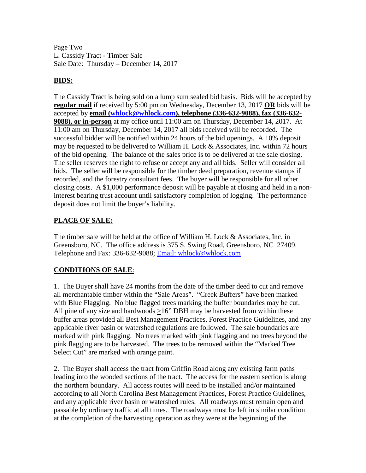Page Two L. Cassidy Tract - Timber Sale Sale Date: Thursday – December 14, 2017

## **BIDS:**

The Cassidy Tract is being sold on a lump sum sealed bid basis. Bids will be accepted by **regular mail** if received by 5:00 pm on Wednesday, December 13, 2017 **OR** bids will be accepted by **email [\(whlock@whlock.com\)](mailto:whlock@whlock.com), telephone (336-632-9088), fax (336-632- 9088), or in-person** at my office until 11:00 am on Thursday, December 14, 2017. At 11:00 am on Thursday, December 14, 2017 all bids received will be recorded. The successful bidder will be notified within 24 hours of the bid openings. A 10% deposit may be requested to be delivered to William H. Lock  $&$  Associates, Inc. within 72 hours of the bid opening. The balance of the sales price is to be delivered at the sale closing. The seller reserves the right to refuse or accept any and all bids. Seller will consider all bids. The seller will be responsible for the timber deed preparation, revenue stamps if recorded, and the forestry consultant fees. The buyer will be responsible for all other closing costs. A \$1,000 performance deposit will be payable at closing and held in a noninterest bearing trust account until satisfactory completion of logging. The performance deposit does not limit the buyer's liability.

## **PLACE OF SALE:**

The timber sale will be held at the office of William H. Lock & Associates, Inc. in Greensboro, NC. The office address is 375 S. Swing Road, Greensboro, NC 27409. Telephone and Fax: 336-632-9088; [Email: whlock@whlock.com](mailto:Email:%20whlock@whlock.com) 

# **CONDITIONS OF SALE**:

1. The Buyer shall have 24 months from the date of the timber deed to cut and remove all merchantable timber within the "Sale Areas". "Creek Buffers" have been marked with Blue Flagging. No blue flagged trees marking the buffer boundaries may be cut. All pine of any size and hardwoods >16" DBH may be harvested from within these buffer areas provided all Best Management Practices, Forest Practice Guidelines, and any applicable river basin or watershed regulations are followed. The sale boundaries are marked with pink flagging. No trees marked with pink flagging and no trees beyond the pink flagging are to be harvested. The trees to be removed within the "Marked Tree Select Cut" are marked with orange paint.

2. The Buyer shall access the tract from Griffin Road along any existing farm paths leading into the wooded sections of the tract. The access for the eastern section is along the northern boundary. All access routes will need to be installed and/or maintained according to all North Carolina Best Management Practices, Forest Practice Guidelines, and any applicable river basin or watershed rules. All roadways must remain open and passable by ordinary traffic at all times. The roadways must be left in similar condition at the completion of the harvesting operation as they were at the beginning of the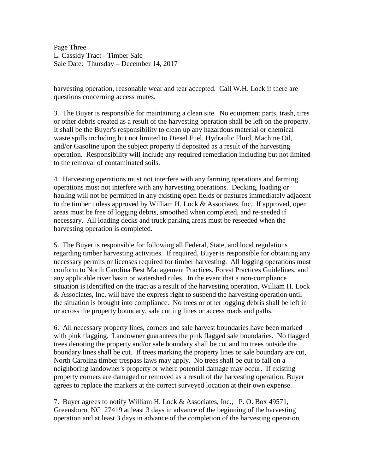Page Three L. Cassidy Tract - Timber Sale Sale Date: Thursday – December 14, 2017

harvesting operation, reasonable wear and tear accepted. Call W.H. Lock if there are questions concerning access routes.

3. The Buyer is responsible for maintaining a clean site. No equipment parts, trash, tires or other debris created as a result of the harvesting operation shall be left on the property. It shall be the Buyer's responsibility to clean up any hazardous material or chemical waste spills including but not limited to Diesel Fuel, Hydraulic Fluid, Machine Oil, and/or Gasoline upon the subject property if deposited as a result of the harvesting operation. Responsibility will include any required remediation including but not limited to the removal of contaminated soils.

4. Harvesting operations must not interfere with any farming operations and farming operations must not interfere with any harvesting operations. Decking, loading or hauling will not be permitted in any existing open fields or pastures immediately adjacent to the timber unless approved by William H. Lock & Associates, Inc. If approved, open areas must be free of logging debris, smoothed when completed, and re-seeded if necessary. All loading decks and truck parking areas must be reseeded when the harvesting operation is completed.

5. The Buyer is responsible for following all Federal, State, and local regulations regarding timber harvesting activities. If required, Buyer is responsible for obtaining any necessary permits or licenses required for timber harvesting. All logging operations must conform to North Carolina Best Management Practices, Forest Practices Guidelines, and any applicable river basin or watershed rules. In the event that a non-compliance situation is identified on the tract as a result of the harvesting operation, William H. Lock & Associates, Inc. will have the express right to suspend the harvesting operation until the situation is brought into compliance. No trees or other logging debris shall be left in or across the property boundary, sale cutting lines or access roads and paths.

6. All necessary property lines, corners and sale harvest boundaries have been marked with pink flagging. Landowner guarantees the pink flagged sale boundaries. No flagged trees denoting the property and/or sale boundary shall be cut and no trees outside the boundary lines shall be cut. If trees marking the property lines or sale boundary are cut, North Carolina timber trespass laws may apply. No trees shall be cut to fall on a neighboring landowner's property or where potential damage may occur. If existing property corners are damaged or removed as a result of the harvesting operation, Buyer agrees to replace the markers at the correct surveyed location at their own expense.

7. Buyer agrees to notify William H. Lock & Associates, Inc., P. O. Box 49571, Greensboro, NC 27419 at least 3 days in advance of the beginning of the harvesting operation and at least 3 days in advance of the completion of the harvesting operation.